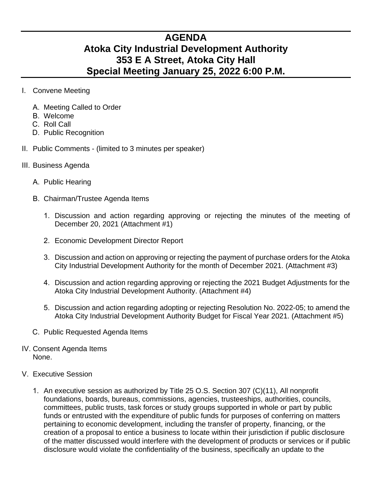## **AGENDA Atoka City Industrial Development Authority 353 E A Street, Atoka City Hall Special Meeting January 25, 2022 6:00 P.M.**

- I. Convene Meeting
	- A. Meeting Called to Order
	- B. Welcome
	- C. Roll Call
	- D. Public Recognition
- II. Public Comments (limited to 3 minutes per speaker)
- III. Business Agenda
	- A. Public Hearing
	- B. Chairman/Trustee Agenda Items
		- 1. Discussion and action regarding approving or rejecting the minutes of the meeting of December 20, 2021 (Attachment #1)
		- 2. Economic Development Director Report
		- 3. Discussion and action on approving or rejecting the payment of purchase orders for the Atoka City Industrial Development Authority for the month of December 2021. (Attachment #3)
		- 4. Discussion and action regarding approving or rejecting the 2021 Budget Adjustments for the Atoka City Industrial Development Authority. (Attachment #4)
		- 5. Discussion and action regarding adopting or rejecting Resolution No. 2022-05; to amend the Atoka City Industrial Development Authority Budget for Fiscal Year 2021. (Attachment #5)
	- C. Public Requested Agenda Items
- IV. Consent Agenda Items None.
- V. Executive Session
	- 1. An executive session as authorized by Title 25 O.S. Section 307 (C)(11), All nonprofit foundations, boards, bureaus, commissions, agencies, trusteeships, authorities, councils, committees, public trusts, task forces or study groups supported in whole or part by public funds or entrusted with the expenditure of public funds for purposes of conferring on matters pertaining to economic development, including the transfer of property, financing, or the creation of a proposal to entice a business to locate within their jurisdiction if public disclosure of the matter discussed would interfere with the development of products or services or if public disclosure would violate the confidentiality of the business, specifically an update to the